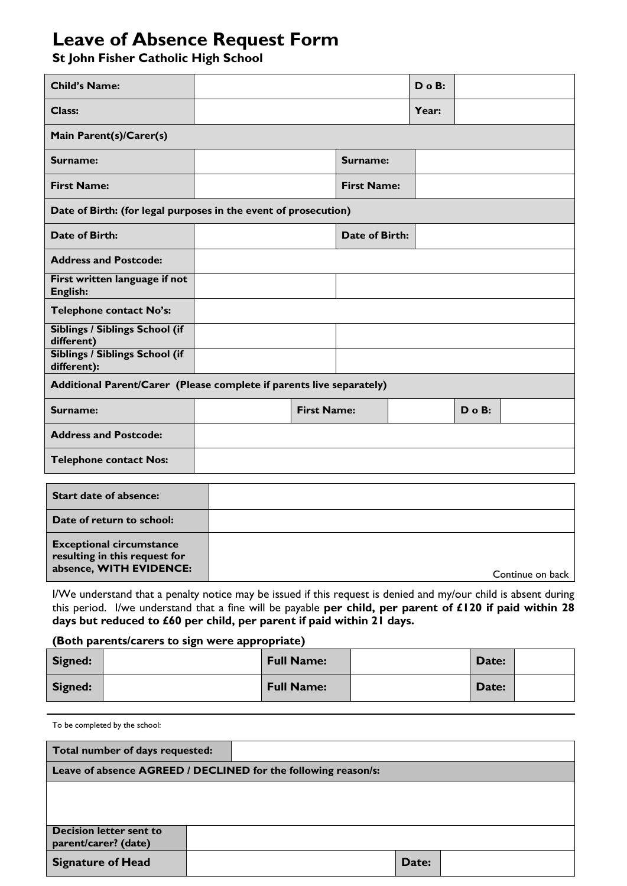## **Leave of Absence Request Form**

**St John Fisher Catholic High School**

| <b>Child's Name:</b>                                                 |  |                    |                    | $D$ o $B$ : |             |  |  |  |  |
|----------------------------------------------------------------------|--|--------------------|--------------------|-------------|-------------|--|--|--|--|
| Class:                                                               |  |                    |                    | Year:       |             |  |  |  |  |
| Main Parent(s)/Carer(s)                                              |  |                    |                    |             |             |  |  |  |  |
| Surname:                                                             |  |                    | Surname:           |             |             |  |  |  |  |
| <b>First Name:</b>                                                   |  |                    | <b>First Name:</b> |             |             |  |  |  |  |
| Date of Birth: (for legal purposes in the event of prosecution)      |  |                    |                    |             |             |  |  |  |  |
| <b>Date of Birth:</b>                                                |  |                    | Date of Birth:     |             |             |  |  |  |  |
| <b>Address and Postcode:</b>                                         |  |                    |                    |             |             |  |  |  |  |
| First written language if not<br>English:                            |  |                    |                    |             |             |  |  |  |  |
| Telephone contact No's:                                              |  |                    |                    |             |             |  |  |  |  |
| Siblings / Siblings School (if<br>different)                         |  |                    |                    |             |             |  |  |  |  |
| Siblings / Siblings School (if<br>different):                        |  |                    |                    |             |             |  |  |  |  |
| Additional Parent/Carer (Please complete if parents live separately) |  |                    |                    |             |             |  |  |  |  |
| Surname:                                                             |  | <b>First Name:</b> |                    |             | $D$ o $B$ : |  |  |  |  |
| <b>Address and Postcode:</b>                                         |  |                    |                    |             |             |  |  |  |  |
| <b>Telephone contact Nos:</b>                                        |  |                    |                    |             |             |  |  |  |  |
| <b>Start date of absence:</b>                                        |  |                    |                    |             |             |  |  |  |  |
| Date of return to school:                                            |  |                    |                    |             |             |  |  |  |  |
| <b>Exceptional circumstance</b><br>resulting in this request for     |  |                    |                    |             |             |  |  |  |  |

**absence, WITH EVIDENCE:**  $\qquad \qquad$  Continue on back I/We understand that a penalty notice may be issued if this request is denied and my/our child is absent during this period. I/we understand that a fine will be payable **per child, per parent of £120 if paid within 28** 

**days but reduced to £60 per child, per parent if paid within 21 days.**

## **(Both parents/carers to sign were appropriate)**

| Signed: | <b>Full Name:</b> | Date: |  |
|---------|-------------------|-------|--|
| Signed: | <b>Full Name:</b> | Date: |  |

To be completed by the school:

| Total number of days requested:                                |  |  |  |  |  |  |  |  |       |  |  |
|----------------------------------------------------------------|--|--|--|--|--|--|--|--|-------|--|--|
| Leave of absence AGREED / DECLINED for the following reason/s: |  |  |  |  |  |  |  |  |       |  |  |
|                                                                |  |  |  |  |  |  |  |  |       |  |  |
|                                                                |  |  |  |  |  |  |  |  |       |  |  |
|                                                                |  |  |  |  |  |  |  |  |       |  |  |
| <b>Decision letter sent to</b>                                 |  |  |  |  |  |  |  |  |       |  |  |
| parent/carer? (date)                                           |  |  |  |  |  |  |  |  |       |  |  |
| <b>Signature of Head</b>                                       |  |  |  |  |  |  |  |  | Date: |  |  |